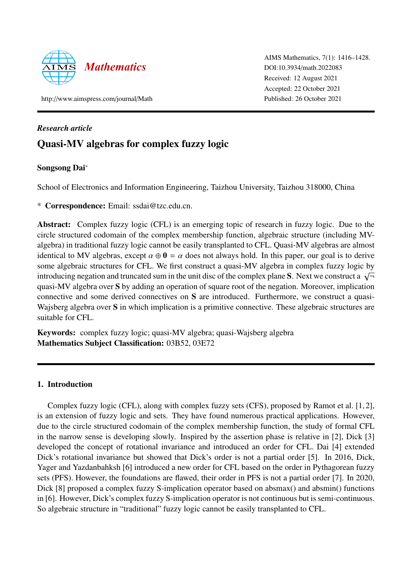

AIMS Mathematics, 7(1): 1416–1428. DOI:10.3934/[math.2022083](http://dx.doi.org/10.3934/math.2022083) Received: 12 August 2021 Accepted: 22 October 2021 Published: 26 October 2021

http://[www.aimspress.com](http://www.aimspress.com/journal/Math)/journal/Math

# *Research article*

# Quasi-MV algebras for complex fuzzy logic

# Songsong Dai<sup>∗</sup>

School of Electronics and Information Engineering, Taizhou University, Taizhou 318000, China

\* Correspondence: Email: ssdai@tzc.edu.cn.

Abstract: Complex fuzzy logic (CFL) is an emerging topic of research in fuzzy logic. Due to the circle structured codomain of the complex membership function, algebraic structure (including MValgebra) in traditional fuzzy logic cannot be easily transplanted to CFL. Quasi-MV algebras are almost identical to MV algebras, except  $\alpha \oplus \mathbf{0} = \alpha$  does not always hold. In this paper, our goal is to derive some algebraic structures for CFL. We first construct a quasi-MV algebra in complex fuzzy logic by introducing negation and truncated sum in the unit disc of the complex plane S. Next we construct a  $\sqrt{\tau}$ quasi-MV algebra over S by adding an operation of square root of the negation. Moreover, implication connective and some derived connectives on S are introduced. Furthermore, we construct a quasi-Wajsberg algebra over S in which implication is a primitive connective. These algebraic structures are suitable for CFL.

Keywords: complex fuzzy logic; quasi-MV algebra; quasi-Wajsberg algebra Mathematics Subject Classification: 03B52, 03E72

## 1. Introduction

Complex fuzzy logic (CFL), along with complex fuzzy sets (CFS), proposed by Ramot et al. [\[1,](#page-11-0) [2\]](#page-11-1), is an extension of fuzzy logic and sets. They have found numerous practical applications. However, due to the circle structured codomain of the complex membership function, the study of formal CFL in the narrow sense is developing slowly. Inspired by the assertion phase is relative in [\[2\]](#page-11-1), Dick [\[3\]](#page-11-2) developed the concept of rotational invariance and introduced an order for CFL. Dai [\[4\]](#page-11-3) extended Dick's rotational invariance but showed that Dick's order is not a partial order [\[5\]](#page-11-4). In 2016, Dick, Yager and Yazdanbahksh [\[6\]](#page-11-5) introduced a new order for CFL based on the order in Pythagorean fuzzy sets (PFS). However, the foundations are flawed, their order in PFS is not a partial order [\[7\]](#page-11-6). In 2020, Dick [\[8\]](#page-11-7) proposed a complex fuzzy S-implication operator based on absmax() and absmin() functions in [\[6\]](#page-11-5). However, Dick's complex fuzzy S-implication operator is not continuous but is semi-continuous. So algebraic structure in "traditional" fuzzy logic cannot be easily transplanted to CFL.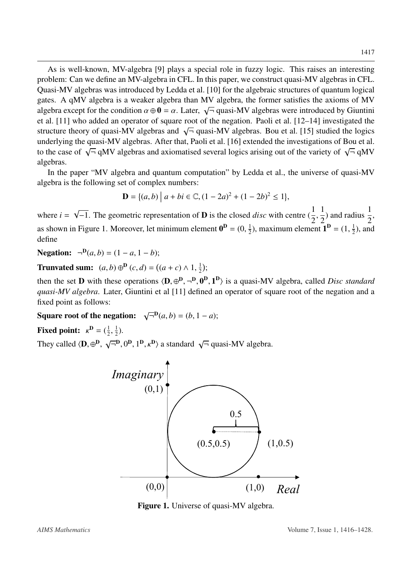As is well-known, MV-algebra [\[9\]](#page-11-8) plays a special role in fuzzy logic. This raises an interesting problem: Can we define an MV-algebra in CFL. In this paper, we construct quasi-MV algebras in CFL. Quasi-MV algebras was introduced by Ledda et al. [\[10\]](#page-11-9) for the algebraic structures of quantum logical gates. A qMV algebra is a weaker algebra than MV algebra, the former satisfies the axioms of MV algebra except for the condition  $\alpha \oplus 0 = \alpha$ . Later,  $\sqrt{\alpha}$  at all 111 who added an operator of square root of  $\overline{\mathcal{F}}$  quasi-MV algebras were introduced by Giuntini et al. [\[11\]](#page-11-10) who added an operator of square root of the negation. Paoli et al. [\[12–](#page-11-11)[14\]](#page-11-12) investigated the structure theory of quasi-MV algebras and  $\sqrt{\overline{}}$  quasi-MV algebras. Bou et al. [\[15\]](#page-11-13) studied the logics underlying the quasi-MV algebras. After that, Paoli et al. [\[16\]](#page-11-14) extended the investigations of Bou et al. to the case of  $\sqrt{\overline{}}$  qMV algebras and axiomatised several logics arising out of the variety of  $\sqrt{\overline{}}$  qMV algebras.

In the paper "MV algebra and quantum computation" by Ledda et al., the universe of quasi-MV algebra is the following set of complex numbers:

$$
\mathbf{D} = \{(a, b) \mid a + bi \in \mathbb{C}, (1 - 2a)^2 + (1 - 2b)^2 \le 1\},\
$$

where  $i =$  $\sqrt{-1}$ . The geometric representation of **D** is the closed *disc* with centre  $\left(\frac{1}{2}\right)$  $2,$ 1 2 ) and radius  $\frac{1}{2}$ 2 , as shown in Figure 1. Moreover, let minimum element  $\mathbf{0}^{\mathbf{D}} = (0, \frac{1}{2})^{\mathbf{D}}$  $\frac{1}{2}$ ), maximum element  $\mathbf{1}^{\mathbf{D}} = (1, \frac{1}{2})$  $\frac{1}{2}$ ), and define

**Negation:**  $\neg$ **<sup>D</sup>**(*a*, *b*) = (1 − *a*, 1 − *b*);

**Trunvated sum:**  $(a, b) \oplus^{\mathbf{D}} (c, d) = ((a + c) \wedge 1, \frac{1}{2})$  $\frac{1}{2}$ );

then the set **D** with these operations  $\langle \mathbf{D}, \oplus^{\mathbf{D}}, \neg^{\mathbf{D}}, \mathbf{0}^{\mathbf{D}}, \mathbf{1}^{\mathbf{D}} \rangle$  is a quasi-MV algebra, called *Disc standard* quasi *MV* algebra. I at  $\Gamma$  cluster Cunting at al. [11] defined an operator *quasi-MV algebra*. Later, Giuntini et al [\[11\]](#page-11-10) defined an operator of square root of the negation and a fixed point as follows:

Square root of the negation:  $\sqrt{-}^D(a,b) = (b, 1 - a);$ 

**Fixed point:**  $\kappa^{\mathbf{D}} = (\frac{1}{2})$ 2  $\overline{\phantom{a}}$ 1  $(\frac{1}{2})$ .

They called  $\langle \mathbf{D}, \oplus^{\mathbf{D}}$ , √  $\overline{\Box}^{\mathbf{D}}, 0^{\mathbf{D}}, 1^{\mathbf{D}}, \kappa^{\mathbf{D}}$  a standard  $\sqrt{\Box}$  quasi-MV algebra.



Figure 1. Universe of quasi-MV algebra.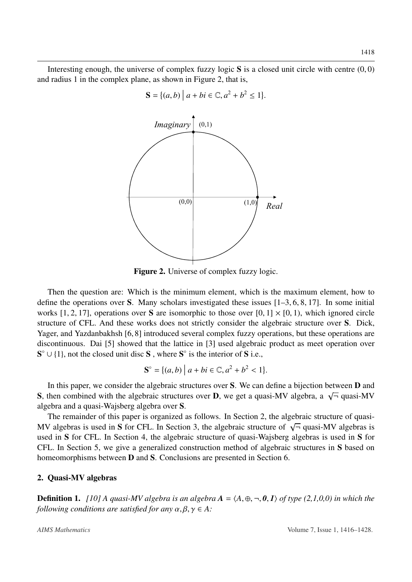Interesting enough, the universe of complex fuzzy logic  $S$  is a closed unit circle with centre  $(0, 0)$ and radius 1 in the complex plane, as shown in Figure 2, that is,



Figure 2. Universe of complex fuzzy logic.

Then the question are: Which is the minimum element, which is the maximum element, how to define the operations over S. Many scholars investigated these issues  $[1–3, 6, 8, 17]$  $[1–3, 6, 8, 17]$  $[1–3, 6, 8, 17]$  $[1–3, 6, 8, 17]$  $[1–3, 6, 8, 17]$  $[1–3, 6, 8, 17]$  $[1–3, 6, 8, 17]$  $[1–3, 6, 8, 17]$ . In some initial works [\[1,](#page-11-0) [2,](#page-11-1) [17\]](#page-11-15), operations over S are isomorphic to those over  $[0, 1] \times [0, 1)$ , which ignored circle structure of CFL. And these works does not strictly consider the algebraic structure over S. Dick, Yager, and Yazdanbakhsh [\[6,](#page-11-5) [8\]](#page-11-7) introduced several complex fuzzy operations, but these operations are discontinuous. Dai [\[5\]](#page-11-4) showed that the lattice in [\[3\]](#page-11-2) used algebraic product as meet operation over  $S^{\circ} \cup \{1\}$ , not the closed unit disc S, where  $S^{\circ}$  is the interior of S i.e.,

$$
\mathbf{S}^{\circ} = \{ (a, b) \mid a + bi \in \mathbb{C}, a^2 + b^2 < 1 \}.
$$

In this paper, we consider the algebraic structures over S. We can define a bijection between **D** and S, then combined with the algebraic structures over D, we get a quasi-MV algebra, a  $\sqrt{\tau}$  quasi-MV  $\sigma$ . algebra and a quasi-Wajsberg algebra over S.

The remainder of this paper is organized as follows. In Section 2, the algebraic structure of quasi-The remainder or this paper is organized as follows. In section 2, the algebraic structure of quasi-MV algebras is used in S for CFL. In Section 3, the algebraic structure of  $\sqrt{\tau}$  quasi-MV algebras is used in S for CFL. In Section 4, the algebraic structure of quasi-Wajsberg algebras is used in S for CFL. In Section 5, we give a generalized construction method of algebraic structures in S based on homeomorphisms between D and S. Conclusions are presented in Section 6.

#### 2. Quasi-MV algebras

**Definition 1.** [\[10\]](#page-11-9) A quasi-MV algebra is an algebra  $A = \langle A, \oplus, \neg, \theta, I \rangle$  of type (2,1,0,0) in which the *following conditions are satisfied for any*  $\alpha, \beta, \gamma \in A$ :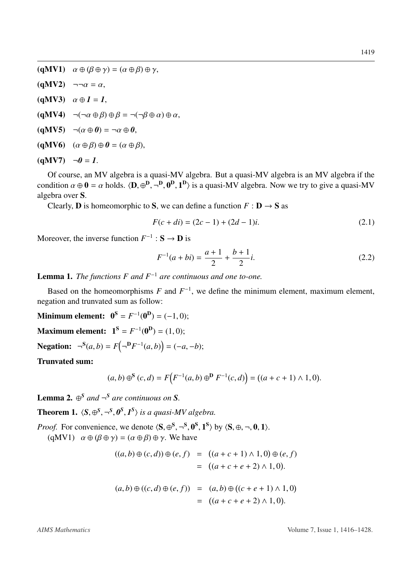$(qMV1)$   $\alpha \oplus (\beta \oplus \gamma) = (\alpha \oplus \beta) \oplus \gamma$ ,  $(qMV2)$   $\neg \neg \alpha = \alpha$ , (qMV3)  $\alpha \oplus 1 = 1$ ,  $(qMV4) \quad \neg(\neg \alpha \oplus \beta) \oplus \beta = \neg(\neg \beta \oplus \alpha) \oplus \alpha,$  $(qMV5) \quad \neg(\alpha \oplus \emptyset) = \neg \alpha \oplus \emptyset,$  $(qMV6)$   $(\alpha \oplus \beta) \oplus 0 = (\alpha \oplus \beta),$  $(qMV7)$   $\neg \theta = 1$ .

Of course, an MV algebra is a quasi-MV algebra. But a quasi-MV algebra is an MV algebra if the condition  $\alpha \oplus \mathbf{0} = \alpha$  holds.  $\langle \mathbf{D}, \oplus^{\mathbf{D}}, \neg^{\mathbf{D}}, \mathbf{0}^{\mathbf{D}}, \mathbf{1}^{\mathbf{D}} \rangle$  is a quasi-MV algebra. Now we try to give a quasi-MV algebra over  $\mathbf{S}$ algebra over S.

Clearly, **D** is homeomorphic to **S**, we can define a function  $F : D \to S$  as

$$
F(c+di) = (2c-1) + (2d-1)i.
$$
 (2.1)

Moreover, the inverse function  $F^{-1}: \mathbf{S} \to \mathbf{D}$  is

$$
F^{-1}(a+bi) = \frac{a+1}{2} + \frac{b+1}{2}i.
$$
 (2.2)

Lemma 1. *The functions F and F*<sup>−</sup><sup>1</sup> *are continuous and one to-one.*

Based on the homeomorphisms  $F$  and  $F^{-1}$ , we define the minimum element, maximum element, negation and trunvated sum as follow:

**Minimum element:**  $0^S = F^{-1}(0^D) = (-1, 0);$ 

**Maximum element:**  $1^S = F^{-1}(0^D) = (1, 0);$ 

Negation:  $\neg^{S}(a, b) = F(\neg^{D}F^{-1}(a, b)) = (-a, -b);$ 

Trunvated sum:

$$
(a,b)\oplus^{\mathbf{S}}(c,d) = F\Big(F^{-1}(a,b)\oplus^{\mathbf{D}} F^{-1}(c,d)\Big) = ((a+c+1)\wedge 1,0).
$$

**Lemma 2.**  $\oplus^S$  *and*  $\neg^S$  *are continuous on S.* 

**Theorem 1.**  $\langle S, \oplus^S, \neg^S, \mathbf{0}^S, \mathbf{1}^S \rangle$  *is a quasi-MV algebra.* 

*Proof.* For convenience, we denote  $\langle S, \oplus S, \neg S, \mathbf{0}^S, \mathbf{1}^S \rangle$  by  $\langle S, \oplus, \neg, \mathbf{0}, \mathbf{1} \rangle$ .<br>(aMV1)  $\alpha \oplus (\beta \oplus \alpha) = (\alpha \oplus \beta) \oplus \alpha$ . We have

(qMV1)  $\alpha \oplus (\beta \oplus \gamma) = (\alpha \oplus \beta) \oplus \gamma$ . We have

$$
((a, b) \oplus (c, d)) \oplus (e, f) = ((a + c + 1) \wedge 1, 0) \oplus (e, f)
$$
  

$$
= ((a + c + e + 2) \wedge 1, 0).
$$
  

$$
(a, b) \oplus ((c, d) \oplus (e, f)) = (a, b) \oplus ((c + e + 1) \wedge 1, 0)
$$
  

$$
= ((a + c + e + 2) \wedge 1, 0).
$$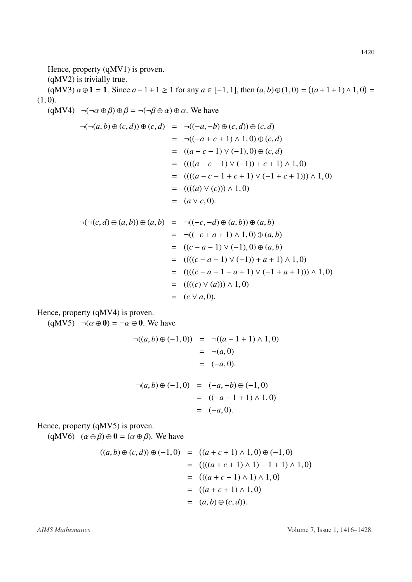Hence, property (qMV1) is proven.

(qMV2) is trivially true.

 $(qMV3) \alpha \oplus 1 = 1$ . Since  $a + 1 + 1 \ge 1$  for any  $a \in [-1, 1]$ , then  $(a, b) \oplus (1, 0) = ((a + 1 + 1) \wedge 1, 0) = 0$  $(1, 0)$ .

 $(qMV4) \neg(\neg \alpha \oplus \beta) \oplus \beta = \neg(\neg \beta \oplus \alpha) \oplus \alpha$ . We have

$$
\neg(\neg(a, b) \oplus (c, d)) \oplus (c, d) = \neg((-a, -b) \oplus (c, d)) \oplus (c, d)
$$
  
\n
$$
= \neg((-a + c + 1) \land 1, 0) \oplus (c, d)
$$
  
\n
$$
= ((a - c - 1) \lor (-1), 0) \oplus (c, d)
$$
  
\n
$$
= (((a - c - 1) \lor (-1)) + c + 1) \land 1, 0)
$$
  
\n
$$
= (((a - c - 1 + c + 1) \lor (-1 + c + 1))) \land 1, 0)
$$
  
\n
$$
= (((a) \lor (c))) \land 1, 0)
$$
  
\n
$$
= (a \lor c, 0).
$$

$$
\neg(\neg(c, d) \oplus (a, b)) \oplus (a, b) = \neg((-c, -d) \oplus (a, b)) \oplus (a, b)
$$
  
\n
$$
= \neg((-c + a + 1) \land 1, 0) \oplus (a, b)
$$
  
\n
$$
= ((c - a - 1) \lor (-1), 0) \oplus (a, b)
$$
  
\n
$$
= (((c - a - 1) \lor (-1)) + a + 1) \land 1, 0)
$$
  
\n
$$
= (((c - a - 1 + a + 1) \lor (-1 + a + 1))) \land 1, 0)
$$
  
\n
$$
= (((c) \lor (a))) \land 1, 0)
$$
  
\n
$$
= (c \lor a, 0).
$$

Hence, property (qMV4) is proven.

 $(qMV5)$   $\neg(\alpha \oplus 0) = \neg \alpha \oplus 0$ . We have

$$
\neg((a, b) \oplus (-1, 0)) = \neg((a - 1 + 1) \land 1, 0)
$$
  
= \neg(a, 0)  
= (-a, 0).  
  

$$
\neg(a, b) \oplus (-1, 0) = (-a, -b) \oplus (-1, 0)
$$
  
= ((-a - 1 + 1) \land 1, 0)  
= (-a, 0).

Hence, property (qMV5) is proven.

(qMV6)  $(\alpha \oplus \beta) \oplus \mathbf{0} = (\alpha \oplus \beta)$ . We have

$$
((a, b) \oplus (c, d)) \oplus (-1, 0) = ((a + c + 1) \land 1, 0) \oplus (-1, 0)
$$
  
= 
$$
(((a + c + 1) \land 1) - 1 + 1) \land 1, 0)
$$
  
= 
$$
(((a + c + 1) \land 1) \land 1, 0)
$$
  
= 
$$
((a + c + 1) \land 1, 0)
$$
  
= 
$$
(a, b) \oplus (c, d)).
$$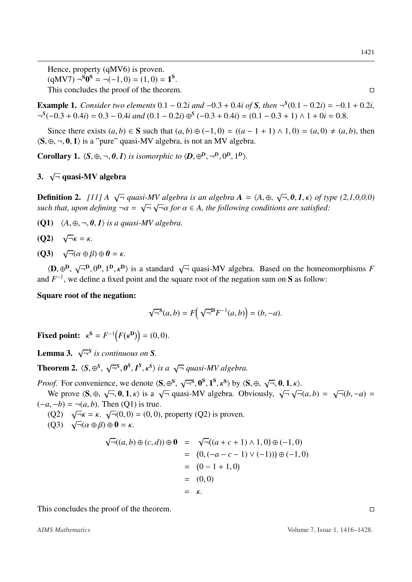Hence, property (qMV6) is proven.  $(qMV7) \neg^S 0^S = \neg (-1, 0) = (1, 0) = 1^S.$ <br>This concludes the proof of the theorem This concludes the proof of the theorem.

**Example 1.** *Consider two elements*  $0.1 - 0.2i$  *and*  $-0.3 + 0.4i$  *of* **S***, then*  $\neg^{S}(0.1 - 0.2i) = -0.1 + 0.2i$ ,<br> $\neg^{S}(-0.3 + 0.4i) = 0.3 - 0.4i$  and  $(0.1 - 0.2i) \oplus^{S}(-0.3 + 0.4i) = (0.1 - 0.3 + 1) \wedge 1 + 0i = 0.8$ ¬ *S* (−0.<sup>3</sup> <sup>+</sup> <sup>0</sup>.4*i*) <sup>=</sup> <sup>0</sup>.<sup>3</sup> <sup>−</sup> <sup>0</sup>.4*i and* (0.<sup>1</sup> <sup>−</sup> <sup>0</sup>.2*i*) <sup>⊕</sup> *S* (−0.<sup>3</sup> <sup>+</sup> <sup>0</sup>.4*i*) <sup>=</sup> (0.<sup>1</sup> <sup>−</sup> <sup>0</sup>.<sup>3</sup> <sup>+</sup> 1) <sup>∧</sup> <sup>1</sup> <sup>+</sup> <sup>0</sup>*<sup>i</sup>* <sup>=</sup> <sup>0</sup>.8.

Since there exists  $(a, b) \in S$  such that  $(a, b) \oplus (-1, 0) = ((a - 1 + 1) \wedge 1, 0) = (a, 0) \neq (a, b)$ , then  $\langle S, \oplus, \neg, 0, 1 \rangle$  is a "pure" quasi-MV algebra, is not an MV algebra.

**Corollary 1.**  $\langle S, \oplus, \neg, \theta, I \rangle$  *is isomorphic to*  $\langle D, \oplus^D, \neg^D, 0^D, 1^D \rangle$ .

# 3. <sup>√</sup> ¬ quasi-MV algebra

Definition 2. *[\[11\]](#page-11-10) A* <sup>√</sup>  $\overline{\neg}$  *quasi-MV algebra is an algebra*  $\overline{A} = \langle A, \oplus, \neg A \rangle = \sqrt{\neg} \sqrt{\neg} \sqrt{\neg}$  for  $\alpha \in A$ , the following condition-√  $\overline{\mathcal{F}}$ , **0**, **1**, *κ*) of type (2,1,0,0,0) *such that, upon defining* <sup>¬</sup>α <sup>=</sup> √ ¬ √ <sup>¬</sup>α *for* α <sup>∈</sup> *A, the following conditions are satisfied:*

(Q1)  $\langle A, \oplus, \neg, 0, 1 \rangle$  *is a quasi-MV algebra.* 

$$
(Q2) \quad \sqrt{-}\kappa = \kappa.
$$

 $(Q3)$   $\sqrt{ }$  $\overline{\neg}(\alpha \oplus \beta) \oplus \mathbf{0} = \kappa.$ 

 $\langle \mathbf{D}, \oplus^{\mathbf{D}}, \sqrt{\mathbf{D}}\rangle$ and  $F^{-1}$ , we define a fixed point and the square root of the negation sum on S as follow:  $\overline{\mathcal{A}}^{\mathbf{D}}, 0^{\mathbf{D}}, 1^{\mathbf{D}}, \kappa^{\mathbf{D}}$  is a standard  $\sqrt{\mathbf{A}}$  quasi-MV algebra. Based on the homeomorphisms *F* 

Square root of the negation:

$$
\sqrt{-}^S(a,b) = F(\sqrt{-}^{\mathbf{D}} F^{-1}(a,b)) = (b, -a).
$$

**Fixed point:**  $\kappa^{\mathbf{S}} = F^{-1}(F)$  $\binom{D}{ }$  = (0, 0).

**Lemma 3.**  $\sqrt{\overline{\sigma}^S}$  is continuous on **S**.

**Theorem 2.**  $\langle S, \oplus S, \sqrt{S} \rangle$  $\overline{a}$  $\overline{\rightarrow}^S, \theta^S, I^S, \kappa^S$  *is a*  $\sqrt{\rightarrow}$  *quasi-MV algebra.* 

*Proof.* For convenience, we denote  $\langle S, \oplus S^, \rangle$ <br>We prove  $\langle S, \oplus \rangle = 0, 1, \emptyset$  is a  $\angle = 0.3$ We prove  $\langle S, \oplus, \sqrt{\neg}, 0, 1, \kappa \rangle$  is a  $\sqrt{\neg}$  qu<br>  $\langle I, -h \rangle = \neg (a, b)$ . Then  $(\Omega 1)$  is true ¬ S , 0 S , 1 S , κS <sup>i</sup> by <sup>h</sup>S, <sup>⊕</sup>, √  $\overline{=}$ , 0, 1,  $\kappa$ ). Then (O1) is true √  $\overline{\neg}(a,b) =$ √  $\overline{\neg}(b, -a) =$ 

 $(-a, -b) = \neg(a, b)$ . Then (Q1) is true.<br>(O2)  $\sqrt{-\mu} = \mu \sqrt{-\mu(0, 0)} = (0, 0)$ (Q2) <sup>√</sup>  $\overline{\neg}\kappa = \kappa$ .  $\sqrt{\neg}(0,0) = (0,0)$ , property (Q2) is proven.<br> $\overline{\neg}(\alpha \oplus \beta) \oplus \mathbf{0} = \kappa$ 

 $(Q<sup>2</sup>)$  √<br>(Q3) √  $\overline{\neg}(\alpha \oplus \beta) \oplus \mathbf{0} = \kappa.$ 

$$
\sqrt{-}((a, b) \oplus (c, d)) \oplus \mathbf{0} = \sqrt{-}((a + c + 1) \wedge 1, 0) \oplus (-1, 0)
$$
  
= (0, (-a - c - 1) \vee (-1)))  $\oplus (-1, 0)$   
= (0 - 1 + 1, 0)  
= (0, 0)  
=  $\kappa$ .

This concludes the proof of the theorem.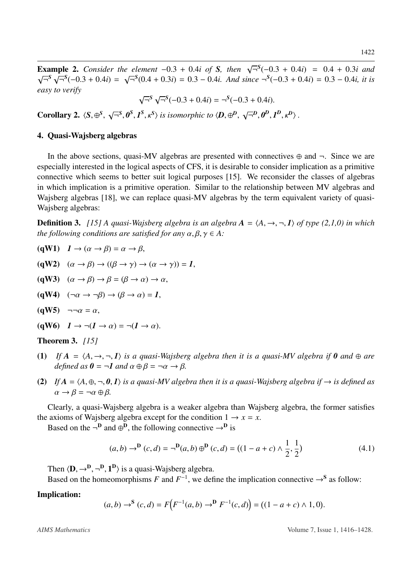**Example 2.** *Consider the element*  $-0.3 + 0.4i$  *of S, then*  $\sqrt{5.5 \cdot 5.6}$   $(-0.3 + 0.4i) = 2.56(0.4 + 0.3i) = 0.3 - 0.4i$  And sin  $\begin{array}{rcl} \n\overline{\rightarrow}^S(-0.3 + 0.4i) & = & 0.4 + 0.3i \text{ and} \\ \n\overline{\rightarrow}^S(-0.3 + 0.4i) & = & 0.3 - 0.4i \text{ it is} \n\end{array}$ √  $\overline{S}^S \sqrt{S}(-0.3 + 0.4i) =$ <br>  $\overline{S}^S \sqrt{S}(-0.3 + 0.4i)$ √ ¬ *S* (0.<sup>4</sup> <sup>+</sup> <sup>0</sup>.3*i*) <sup>=</sup> <sup>0</sup>.<sup>3</sup> <sup>−</sup> <sup>0</sup>.4*i. And since* <sup>¬</sup> *S* (−0.<sup>3</sup> <sup>+</sup> <sup>0</sup>.4*i*) <sup>=</sup> <sup>0</sup>.<sup>3</sup> <sup>−</sup> <sup>0</sup>.4*i, it is easy to verify* √

$$
\sqrt{-}^S \sqrt{-}^S(-0.3 + 0.4i) = -^S(-0.3 + 0.4i).
$$

Corollary 2.  $\langle S, \oplus^S, \sqrt{S} \rangle$  $\overline{a}$  $\overline{\rightarrow}^S, \pmb{\theta}^S, \pmb{I}^S, \kappa^S$  *is isomorphic to*  $\langle \pmb{D}, \oplus^{\pmb{D}} , \sqrt{\sum_{i=1}^S \pmb{I}^S_i}$  $\overline{a}$  $\left\langle \overline{\mathcal{L}}^D, \theta^D, I^D, \kappa^D \right\rangle$ .

#### 4. Quasi-Wajsberg algebras

In the above sections, quasi-MV algebras are presented with connectives  $\oplus$  and  $\neg$ . Since we are especially interested in the logical aspects of CFS, it is desirable to consider implication as a primitive connective which seems to better suit logical purposes [\[15\]](#page-11-13). We reconsider the classes of algebras in which implication is a primitive operation. Similar to the relationship between MV algebras and Wajsberg algebras [\[18\]](#page-12-0), we can replace quasi-MV algebras by the term equivalent variety of quasi-Wajsberg algebras:

**Definition 3.** *[\[15\]](#page-11-13)* A quasi-Wajsberg algebra is an algebra  $A = \langle A, \rightarrow, \neg, I \rangle$  of type (2,1,0) in which *the following conditions are satisfied for any*  $\alpha, \beta, \gamma \in A$ :

- $(qW1)$   $1 \rightarrow (\alpha \rightarrow \beta) = \alpha \rightarrow \beta$ ,
- (gW2)  $(\alpha \rightarrow \beta) \rightarrow ((\beta \rightarrow \gamma) \rightarrow (\alpha \rightarrow \gamma)) = 1$ ,
- (qW3)  $(\alpha \rightarrow \beta) \rightarrow \beta = (\beta \rightarrow \alpha) \rightarrow \alpha$ ,
- (qW4)  $(\neg \alpha \rightarrow \neg \beta) \rightarrow (\beta \rightarrow \alpha) = 1$ ,
- $(qW5)$   $\neg \neg \alpha = \alpha$ ,
- (qW6)  $I \rightarrow \neg (I \rightarrow \alpha) = \neg (I \rightarrow \alpha)$ .
- Theorem 3. *[\[15\]](#page-11-13)*
- (1) If  $A = \langle A, \rightarrow, \neg, I \rangle$  *is a quasi-Wajsberg algebra then it is a quasi-MV algebra if*  $\theta$  *and*  $\oplus$  *are defined as*  $\mathbf{0} = \neg \mathbf{1}$  *and*  $\alpha \oplus \beta = \neg \alpha \rightarrow \beta$ *.*
- (2) If  $A = \langle A, \oplus, \neg, 0, I \rangle$  *is a quasi-MV algebra then it is a quasi-Wajsberg algebra if*  $\rightarrow$  *is defined as*  $\alpha \rightarrow \beta = \neg \alpha \oplus \beta$ .

Clearly, a quasi-Wajsberg algebra is a weaker algebra than Wajsberg algebra, the former satisfies the axioms of Wajsberg algebra except for the condition  $1 \rightarrow x = x$ .

Based on the  $\neg^D$  and  $\oplus^D$ , the following connective  $\neg^D$  is

$$
(a,b) \to^{\mathbf{D}} (c,d) = \neg^{\mathbf{D}}(a,b) \oplus^{\mathbf{D}} (c,d) = ((1-a+c) \wedge \frac{1}{2}, \frac{1}{2})
$$
(4.1)

Then  $\langle \mathbf{D}, \rightarrow^{\mathbf{D}}, \neg^{\mathbf{D}}, \mathbf{1}^{\mathbf{D}} \rangle$  is a quasi-Wajsberg algebra.<br>Based on the homeomorphisms E and  $F^{-1}$ , we define

Based on the homeomorphisms *F* and  $F^{-1}$ , we define the implication connective  $\rightarrow$ <sup>S</sup> as follow:

#### Implication:

 $(a,b) \rightarrow^{S} (c,d) = F\left(F^{-1}(a,b) \rightarrow^{D} F^{-1}(c,d)\right) = ((1-a+c) \land 1, 0)$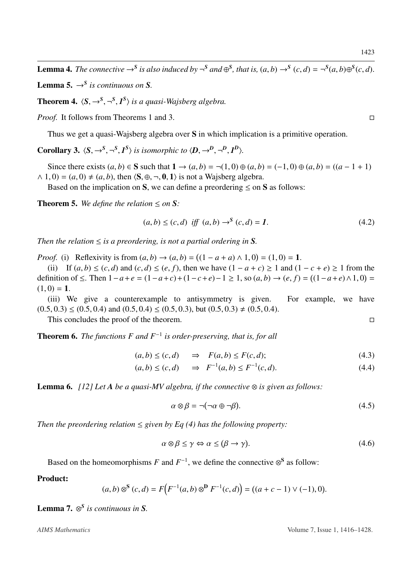**Lemma 4.** The connective  $\rightarrow$ <sup>S</sup> is also induced by  $\neg$ <sup>S</sup> and  $\oplus$ <sup>S</sup>, that is,  $(a, b) \rightarrow$ <sup>S</sup>  $(c, d) = \neg$ <sup>S</sup> $(a, b) \oplus$ <sup>S</sup> $(c, d)$ .

**Lemma 5.**  $\rightarrow$ <sup>*S*</sup> *is continuous on S.* 

**Theorem 4.**  $\langle S, \rightarrow^S, \neg^S, I^S \rangle$  *is a quasi-Wajsberg algebra.* 

*Proof.* It follows from Theorems 1 and 3. □

Thus we get a quasi-Wajsberg algebra over S in which implication is a primitive operation.

**Corollary 3.**  $\langle S, \rightarrow^S, \neg^S, I^S \rangle$  *is isomorphic to*  $\langle D, \rightarrow^D, \neg^D, I^D \rangle$ *.* 

Since there exists  $(a, b) \in S$  such that  $1 \rightarrow (a, b) = \neg(1, 0) \oplus (a, b) = (-1, 0) \oplus (a, b) = ((a - 1 + 1))$  $\wedge$  1, 0) = (*a*, 0)  $\neq$  (*a*, *b*), then  $\langle$ **S**,  $\oplus$ ,  $\neg$ , **0**, 1) is not a Wajsberg algebra.

Based on the implication on S, we can define a preordering  $\leq$  on S as follows:

**Theorem 5.** We define the relation  $\leq$  on S:

$$
(a,b) \le (c,d) \text{ iff } (a,b) \to^{S} (c,d) = 1. \tag{4.2}
$$

*Then the relation*  $\leq$  *is a preordering, is not a partial ordering in S.* 

*Proof.* (i) Reflexivity is from  $(a, b) \rightarrow (a, b) = ((1 - a + a) \land 1, 0) = (1, 0) = 1$ .<br>
(ii) If  $(a, b) \leq (a, d)$  and  $(c, d) \leq (a, f)$  then we have  $(1 - a + c) > 1$  and  $(1 - a + c)$ 

(ii) If  $(a, b) \le (c, d)$  and  $(c, d) \le (e, f)$ , then we have  $(1 - a + c) \ge 1$  and  $(1 - c + e) \ge 1$  from the definition of ≤. Then  $1 - a + e = (1 - a + c) + (1 - c + e) - 1 \ge 1$ , so  $(a, b) \rightarrow (e, f) = ((1 - a + e) \land 1, 0) =$ <br>
(1−0) − 1  $(1, 0) = 1.$ 

(iii) We give a counterexample to antisymmetry is given. For example, we have  $(0.5, 0.3) \le (0.5, 0.4)$  and  $(0.5, 0.4) \le (0.5, 0.3)$ , but  $(0.5, 0.3) \ne (0.5, 0.4)$ .

This concludes the proof of the theorem.

Theorem 6. *The functions F and F*<sup>−</sup><sup>1</sup> *is order-preserving, that is, for all*

$$
(a, b) \le (c, d) \Rightarrow F(a, b) \le F(c, d); \tag{4.3}
$$

$$
(a, b) \le (c, d) \quad \Rightarrow \quad F^{-1}(a, b) \le F^{-1}(c, d). \tag{4.4}
$$

**Lemma 6.**  $[12]$  Let A be a quasi-MV algebra, if the connective  $\otimes$  is given as follows:

$$
\alpha \otimes \beta = \neg(\neg \alpha \oplus \neg \beta). \tag{4.5}
$$

*Then the preordering relation*  $\leq$  *given by Eq (4) has the following property:* 

$$
\alpha \otimes \beta \le \gamma \Leftrightarrow \alpha \le (\beta \to \gamma). \tag{4.6}
$$

Based on the homeomorphisms *F* and  $F^{-1}$ , we define the connective  $\otimes^S$  as follow:

#### Product:

$$
(a,b)\otimes^{\mathbf{S}}(c,d) = F\Big( F^{-1}(a,b)\otimes^{\mathbf{D}} F^{-1}(c,d) \Big) = ((a+c-1)\vee(-1),0).
$$

Lemma 7. ⊗ *S is continuous in S.*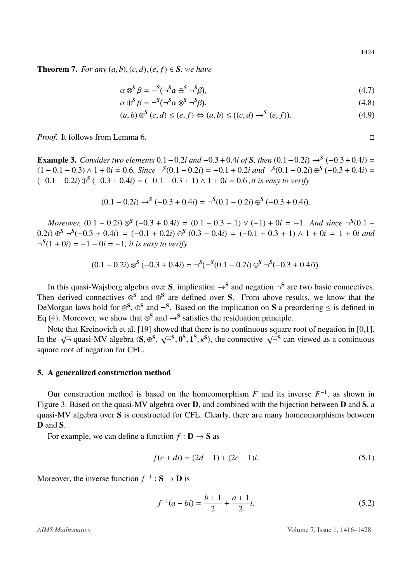**Theorem 7.** *For any*  $(a, b)$ ,  $(c, d)$ ,  $(e, f) \in S$ *, we have* 

$$
\alpha \otimes^S \beta = \neg^S (\neg^S \alpha \oplus^S \neg^S \beta),\tag{4.7}
$$

$$
\alpha \oplus^S \beta = \neg^S(\neg^S \alpha \otimes^S \neg^S \beta),\tag{4.8}
$$

$$
(a,b) \otimes^{S} (c,d) \le (e,f) \Leftrightarrow (a,b) \le ((c,d) \to^{S} (e,f)). \tag{4.9}
$$

*Proof.* It follows from Lemma 6.

**Example 3.** *Consider two elements* 0.1 – 0.2*i* and –0.3 + 0.4*i of S, then* (0.1 – 0.2*i*) →<sup>S</sup> (−0.3 + 0.4*i*) = (1 – 0.1 – 0.3) ∆ 1 + 0*i* − 0.6. *Since* –<sup>S</sup>(0.1 – 0.2*i*) and –<sup>S</sup>(0.1 – 0.2*i*) ∞<sup>S</sup> (−0.3 + 0.  $(1 - 0.1 - 0.3) \wedge 1 + 0i = 0.6$ *. Since*  $\neg^{S}(0.1 - 0.2i) = -0.1 + 0.2i$  and  $\neg^{S}(0.1 - 0.2i) \oplus^{S} (-0.3 + 0.4i) =$ <br>  $(−0.1 + 0.2i) \oplus^{S} (-0.3 + 0.4i) = (-0.1 - 0.3 + 1) \wedge 1 + 0i = 0.6$  *it is easy to verify* (−0.<sup>1</sup> <sup>+</sup> <sup>0</sup>.2*i*) <sup>⊕</sup> *S* (−0.<sup>3</sup> <sup>+</sup> <sup>0</sup>.4*i*) <sup>=</sup> (−0.<sup>1</sup> <sup>−</sup> <sup>0</sup>.<sup>3</sup> <sup>+</sup> 1) <sup>∧</sup> <sup>1</sup> <sup>+</sup> <sup>0</sup>*<sup>i</sup>* <sup>=</sup> <sup>0</sup>.<sup>6</sup> *,it is easy to verify*

$$
(0.1 - 0.2i) \rightarrow^{S} (-0.3 + 0.4i) = \neg^{S}(0.1 - 0.2i) \oplus^{S} (-0.3 + 0.4i).
$$

*Moreover,*  $(0.1 - 0.2i) \otimes^5 (-0.3 + 0.4i) = (0.1 - 0.3 - 1) \vee (-1) + 0i = -1$ *. And since*  $\neg^5(0.1 - i) \otimes^5 - 5(-0.3 + 0.4i) = (-0.1 + 0.2i) \otimes^5 (0.3 - 0.4i) = (-0.1 + 0.3 + 1) \wedge 1 + 0i = 1 + 0i$  and 0.2*i*) ⊕<sup>S</sup> ¬<sup>S</sup>(−0.3 + 0.4*i*) = (−0.1 + 0.2*i*) ⊕<sup>S</sup> (0.3 − 0.4*i*) = (−0.1 + 0.3 + 1) ∧ 1 + 0*i* = 1 + 0*i* and  $-$ <sup>S</sup>(1 + 0*i*) = −1 − 0*i* = −1 *it is easy to verify*  $\neg^{S}(1 + 0i) = -1 - 0i = -1$ , *it is easy to verify* 

$$
(0.1 - 0.2i) \otimes^S (-0.3 + 0.4i) = \neg^S(\neg^S(0.1 - 0.2i) \oplus^S \neg^S(-0.3 + 0.4i)).
$$

In this quasi-Wajsberg algebra over S, implication  $\rightarrow$ <sup>S</sup> and negation  $\neg$ <sup>S</sup> are two basic connectives. Then derived connectives  $\otimes^S$  and  $\oplus^S$  are defined over S. From above results, we know that the DeMorgan laws hold for ⊗<sup>S</sup>, ⊕<sup>S</sup> and ¬<sup>S</sup>. Based on the implication on S a preordering  $\leq$  is defined in Eq (4). Moreover, we show that  $\otimes^S$  and  $\rightarrow^S$  satisfies the residuation principle.

Note that Kreinovich et al. [\[19\]](#page-12-1) showed that there is no continuous square root of negation in [0,1]. INCC<sub>1</sub> is the  $\sqrt{ }$  $\overline{\neg}$  quasi-MV algebra  $\langle S, \oplus S \rangle$  $\overline{\phantom{a}}$ √  $\overline{\mathbf{a}}^{\mathbf{s}}$ ,  $\mathbf{0}^{\mathbf{s}}$ ,  $\mathbf{1}^{\mathbf{s}}$ ,  $\kappa^{\mathbf{s}}$ ), the connective  $\sqrt{\overline{\mathbf{a}}}^{\mathbf{s}}$  can viewed as a continuous square root of negation for CFL.

#### 5. A generalized construction method

Our construction method is based on the homeomorphism  $F$  and its inverse  $F^{-1}$ , as shown in Figure 3. Based on the quasi-MV algebra over D, and combined with the bijection between D and S, a quasi-MV algebra over S is constructed for CFL. Clearly, there are many homeomorphisms between D and S.

For example, we can define a function  $f : \mathbf{D} \to \mathbf{S}$  as

$$
f(c+di) = (2d-1) + (2c-1)i.
$$
 (5.1)

Moreover, the inverse function  $f^{-1}: \mathbf{S} \to \mathbf{D}$  is

$$
f^{-1}(a+bi) = \frac{b+1}{2} + \frac{a+1}{2}i.
$$
 (5.2)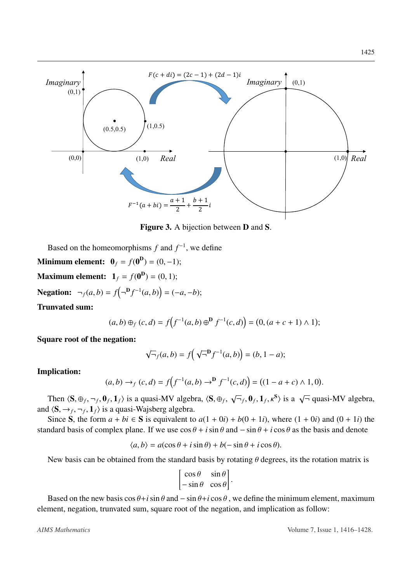

Figure 3. A bijection between D and S.

Based on the homeomorphisms  $f$  and  $f^{-1}$ , we define

**Minimum element:**  $0_f = f(0^D) = (0, -1);$ 

**Maximum element:**  $1_f = f(0^D) = (0, 1);$ 

**Negation:**  $\neg_f(a, b) = f(\neg^{\mathbf{D}} f^{-1}(a, b)) = (-a, -b);$ 

Trunvated sum:

$$
(a,b)\oplus_f(c,d) = f(f^{-1}(a,b) \oplus^{\mathbf{D}} f^{-1}(c,d)) = (0, (a+c+1) \wedge 1);
$$

Square root of the negation:

$$
\sqrt{-} f(a,b) = f(\sqrt{-}^{D} f^{-1}(a,b)) = (b, 1-a);
$$

#### Implication:

$$
(a,b) \to_f (c,d) = f(f^{-1}(a,b) \to^{\mathbf{D}} f^{-1}(c,d)) = ((1 - a + c) \land 1, 0).
$$

Then  $\langle \mathbf{S}, \oplus_f, \neg_f, \mathbf{0}_f, \mathbf{1}_f \rangle$  is a quasi-MV algebra,  $\langle \mathbf{S}, \oplus_f, \mathbf{1}_f \rangle$ <br> $\langle \mathbf{S}, \oplus_f, \neg_i, \mathbf{1}_f \rangle$  is a quasi-Waisherg algebra √  $\overline{\mathcal{F}}_f$ ,  $\mathbf{0}_f$ ,  $\mathbf{1}_f$ ,  $\kappa^S$ ) is a  $\sqrt{\overline{\mathcal{F}}}$  quasi-MV algebra, and  $\langle \mathbf{S}, \rightarrow_f, \neg_f, \mathbf{1}_f \rangle$  is a quasi-Wajsberg algebra.<br>Since  $\mathbf{S}$  the form  $a + bi \in \mathbf{S}$  is equivalent to

Since S, the form  $a + bi \in S$  is equivalent to  $a(1 + 0i) + b(0 + 1i)$ , where  $(1 + 0i)$  and  $(0 + 1i)$  the standard basis of complex plane. If we use  $\cos \theta + i \sin \theta$  and  $-\sin \theta + i \cos \theta$  as the basis and denote

$$
\langle a, b \rangle = a(\cos \theta + i \sin \theta) + b(-\sin \theta + i \cos \theta).
$$

New basis can be obtained from the standard basis by rotating  $\theta$  degrees, its the rotation matrix is

$$
\begin{bmatrix}\n\cos\theta & \sin\theta \\
-\sin\theta & \cos\theta\n\end{bmatrix}.
$$

Based on the new basis  $\cos \theta + i \sin \theta$  and  $-\sin \theta + i \cos \theta$ , we define the minimum element, maximum element, negation, trunvated sum, square root of the negation, and implication as follow: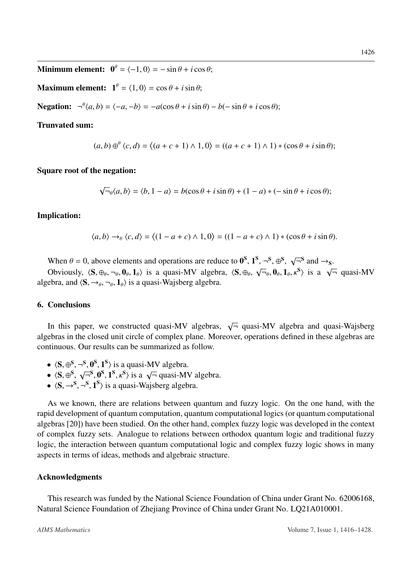**Minimum element:**  $\mathbf{0}^{\theta} = \langle -1, 0 \rangle = -\sin \theta + i \cos \theta;$ 

**Maximum element:**  $\mathbf{1}^{\theta} = \langle 1, 0 \rangle = \cos \theta + i \sin \theta;$ 

**Negation:**  $\neg^{\theta}(a, b) = \langle -a, -b \rangle = -a(\cos \theta + i \sin \theta) - b(-\sin \theta + i \cos \theta);$ 

### Trunvated sum:

$$
(a,b) \oplus^{\theta} \langle c,d \rangle = \langle (a+c+1) \wedge 1, 0 \rangle = ((a+c+1) \wedge 1) * (\cos \theta + i \sin \theta);
$$

#### Square root of the negation:

$$
\sqrt{\overline{a}}_0 \langle a, b \rangle = \langle b, 1 - a \rangle = b(\cos \theta + i \sin \theta) + (1 - a) * (-\sin \theta + i \cos \theta);
$$

#### Implication:

$$
\langle a,b\rangle \rightarrow_{\theta} \langle c,d\rangle = \langle (1-a+c)\wedge 1,0\rangle = ((1-a+c)\wedge 1) * (\cos\theta + i\sin\theta).
$$

When  $\theta = 0$ , above elements and operations are reduce to  $\mathbf{0}^S$ ,  $\mathbf{1}^S$ ,  $\neg^S$ ,  $\oplus^S$ , Obviously  $\mathcal{S} \oplus \mathcal{S} = \mathbf{0}$ ,  $\mathbf{1}$ , i.e. a guasi MV algabra  $\mathcal{S} \oplus \mathcal{S} = \mathbf{0}$ ,  $\mathbf{1}$ √  $S, \neg S, \oplus S, \sqrt{\neg S} \text{ and } \rightarrow_S.$ 

When  $\sigma = 0$ , above elements and operations are reduce to  $\sigma$ ,  $\tau$ ,  $\tau$ ,  $\sigma$ ,  $\sigma$ ,  $\gamma$  and  $\tau$ s.<br>Obviously,  $\langle S, \oplus_{\theta}, \neg_{\theta}, \mathbf{0}_{\theta}, \mathbf{1}_{\theta} \rangle$  is a quasi-MV algebra,  $\langle S, \oplus_{\theta}, \sqrt{\neg_{\theta}}, \mathbf{0}_{\theta}, \mathbf{1}_{\theta}, \kappa^{S$ algebra, and  $\langle S, \rightarrow_{\theta}, \neg_{\theta}, \mathbf{1}_{\theta} \rangle$  is a quasi-Wajsberg algebra.

#### 6. Conclusions

In this paper, we constructed quasi-MV algebras,  $\sqrt{\overline{\ }}$  quasi-MV algebra and quasi-Wajsberg algebras in the closed unit circle of complex plane. Moreover, operations defined in these algebras are continuous. Our results can be summarized as follow.

- $\langle S, \oplus^S, \neg^S, 0^S, 1^S \rangle$  is a quasi-MV algebra.<br>
  $\langle S, \oplus^S, \angle S, \oplus^S, 0^S, 1^S, \angle S \rangle$  is a  $\angle S$  quasi-MV
- $\bullet$   $\langle S, \oplus^S, \sqrt$ <br>  $\bullet$   $\langle S, \oplus^S, \sqrt$  $\overline{S}^{\text{S}}, \overline{0}^{\text{S}}, \overline{1}^{\text{S}}, \overline{K}^{\text{S}}$  is a  $\sqrt{\overline{S}}$  quasi-MV algebra.<br>  $\overline{S}$   $\overline{1}^{\text{S}}$  is a quasi-Waisherg algebra.
- $\langle S, \rightarrow^S, \neg^S, \mathbf{1}^S \rangle$  is a quasi-Wajsberg algebra.

As we known, there are relations between quantum and fuzzy logic. On the one hand, with the rapid development of quantum computation, quantum computational logics (or quantum computational algebras [\[20\]](#page-12-2)) have been studied. On the other hand, complex fuzzy logic was developed in the context of complex fuzzy sets. Analogue to relations between orthodox quantum logic and traditional fuzzy logic, the interaction between quantum computational logic and complex fuzzy logic shows in many aspects in terms of ideas, methods and algebraic structure.

#### Acknowledgments

This research was funded by the National Science Foundation of China under Grant No. 62006168, Natural Science Foundation of Zhejiang Province of China under Grant No. LQ21A010001.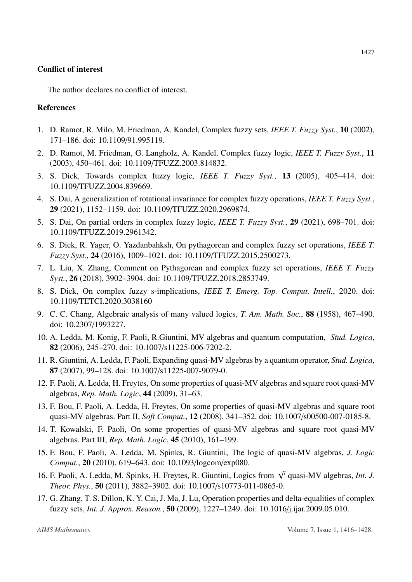#### Conflict of interest

The author declares no conflict of interest.

# References

- <span id="page-11-0"></span>1. D. Ramot, R. Milo, M. Friedman, A. Kandel, Complex fuzzy sets, *IEEE T. Fuzzy Syst.*, 10 (2002), 171–186. doi: 10.1109/91.995119.
- <span id="page-11-1"></span>2. D. Ramot, M. Friedman, G. Langholz, A. Kandel, Complex fuzzy logic, *IEEE T. Fuzzy Syst.*, 11 (2003), 450–461. doi: 10.1109/TFUZZ.2003.814832.
- <span id="page-11-2"></span>3. S. Dick, Towards complex fuzzy logic, *IEEE T. Fuzzy Syst.*, 13 (2005), 405–414. doi: 10.1109/TFUZZ.2004.839669.
- <span id="page-11-3"></span>4. S. Dai, A generalization of rotational invariance for complex fuzzy operations, *IEEE T. Fuzzy Syst.*, 29 (2021), 1152–1159. doi: 10.1109/TFUZZ.2020.2969874.
- <span id="page-11-4"></span>5. S. Dai, On partial orders in complex fuzzy logic, *IEEE T. Fuzzy Syst.*, 29 (2021), 698–701. doi: 10.1109/TFUZZ.2019.2961342.
- <span id="page-11-5"></span>6. S. Dick, R. Yager, O. Yazdanbahksh, On pythagorean and complex fuzzy set operations, *IEEE T. Fuzzy Syst.*, 24 (2016), 1009–1021. doi: 10.1109/TFUZZ.2015.2500273.
- <span id="page-11-6"></span>7. L. Liu, X. Zhang, Comment on Pythagorean and complex fuzzy set operations, *IEEE T. Fuzzy Syst.*, 26 (2018), 3902–3904. doi: 10.1109/TFUZZ.2018.2853749.
- <span id="page-11-7"></span>8. S. Dick, On complex fuzzy s-implications, *IEEE T. Emerg. Top. Comput. Intell.*, 2020. doi: 10.1109/TETCI.2020.3038160
- <span id="page-11-8"></span>9. C. C. Chang, Algebraic analysis of many valued logics, *T. Am. Math. Soc.*, 88 (1958), 467–490. doi: 10.2307/1993227.
- <span id="page-11-9"></span>10. A. Ledda, M. Konig, F. Paoli, R.Giuntini, MV algebras and quantum computation, *Stud. Logica*, 82 (2006), 245–270. doi: 10.1007/s11225-006-7202-2.
- <span id="page-11-10"></span>11. R. Giuntini, A. Ledda, F. Paoli, Expanding quasi-MV algebras by a quantum operator, *Stud. Logica*, 87 (2007), 99–128. doi: 10.1007/s11225-007-9079-0.
- <span id="page-11-11"></span>12. F. Paoli, A. Ledda, H. Freytes, On some properties of quasi-MV algebras and square root quasi-MV algebras, *Rep. Math. Logic*, 44 (2009), 31–63.
- 13. F. Bou, F. Paoli, A. Ledda, H. Freytes, On some properties of quasi-MV algebras and square root quasi-MV algebras. Part II, *Soft Comput.*, 12 (2008), 341–352. doi: 10.1007/s00500-007-0185-8.
- <span id="page-11-12"></span>14. T. Kowalski, F. Paoli, On some properties of quasi-MV algebras and square root quasi-MV algebras. Part III, *Rep. Math. Logic*, 45 (2010), 161–199.
- <span id="page-11-13"></span>15. F. Bou, F. Paoli, A. Ledda, M. Spinks, R. Giuntini, The logic of quasi-MV algebras, *J. Logic Comput.*, 20 (2010), 619–643. doi: 10.1093/logcom/exp080.
- <span id="page-11-14"></span>16. F. Paoli, A. Ledda, M. Spinks, H. Freytes, R. Giuntini, Logics from <sup>√</sup><sup>0</sup> quasi-MV algebras, *Int. J. Theor. Phys.*, 50 (2011), 3882–3902. doi: 10.1007/s10773-011-0865-0.
- <span id="page-11-15"></span>17. G. Zhang, T. S. Dillon, K. Y. Cai, J. Ma, J. Lu, Operation properties and delta-equalities of complex fuzzy sets, *Int. J. Approx. Reason.*, 50 (2009), 1227–1249. doi: 10.1016/j.ijar.2009.05.010.